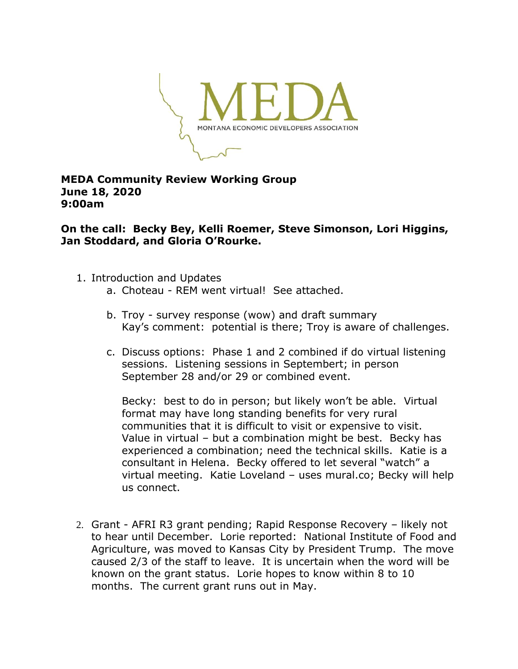

## **MEDA Community Review Working Group June 18, 2020 9:00am**

**On the call: Becky Bey, Kelli Roemer, Steve Simonson, Lori Higgins, Jan Stoddard, and Gloria O'Rourke.**

- 1. Introduction and Updates
	- a. Choteau REM went virtual! See attached.
	- b. Troy survey response (wow) and draft summary Kay's comment: potential is there; Troy is aware of challenges.
	- c. Discuss options: Phase 1 and 2 combined if do virtual listening sessions. Listening sessions in Septembert; in person September 28 and/or 29 or combined event.

Becky: best to do in person; but likely won't be able. Virtual format may have long standing benefits for very rural communities that it is difficult to visit or expensive to visit. Value in virtual – but a combination might be best. Becky has experienced a combination; need the technical skills. Katie is a consultant in Helena. Becky offered to let several "watch" a virtual meeting. Katie Loveland – uses mural.co; Becky will help us connect.

2. Grant - AFRI R3 grant pending; Rapid Response Recovery – likely not to hear until December. Lorie reported: National Institute of Food and Agriculture, was moved to Kansas City by President Trump. The move caused 2/3 of the staff to leave. It is uncertain when the word will be known on the grant status. Lorie hopes to know within 8 to 10 months. The current grant runs out in May.